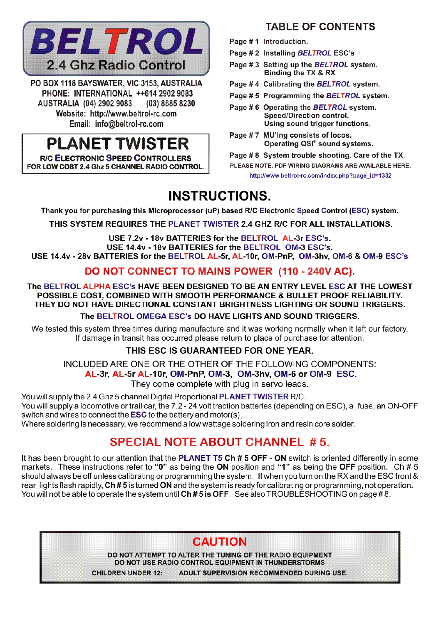

PO BOX 1118 BAYSWATER, VIC 3153, AUSTRALIA PHONE: INTERNATIONAL ++614 2902 9083 **AUSTRALIA (04) 2902 9083** (03) 8685 8230 Website: http://www.beltrol-rc.com Email: info@beltrol-rc.com

# **PLANET TWISTER**

**R/C ELECTRONIC SPEED CONTROLLERS** FOR LOW COST 2.4 Ghz 5 CHANNEL RADIO CONTROL

## **TABLE OF CONTENTS**

- Page #1 Introduction.
- Page # 2 Installing BELTROL ESC's
- Page #3 Setting up the BELTROL system. Binding the TX & RX
- Page #4 Calibrating the BELTROL system.
- Page #5 Programming the BELTROL system.
- Page # 6 Operating the BELTROL system. Speed/Direction control. Using sound trigger functions.
- Page #7 MU'ing consists of locos. Operating QSI<sup>®</sup> sound systems.

Page #8 System trouble shooting. Care of the TX. PLEASE NOTE. PDF WIRING DIAGRAMS ARE AVAILABLE HERE.

http://www.beltrol-rc.com/index.php?page\_id=1332

# **INSTRUCTIONS.**

Thank you for purchasing this Microprocessor (uP) based R/C Electronic Speed Control (ESC) system.

THIS SYSTEM REQUIRES THE PLANET TWISTER 2.4 GHZ R/C FOR ALL INSTALLATIONS.

USE 7.2v - 18v BATTERIES for the BELTROL AL-3r ESC's. USE 14.4v - 18v BATTERIES for the BELTROL OM-3 ESC's. USE 14.4v - 28v BATTERIES for the BELTROL AL-5r. AL-10r. OM-PnP. OM-3hv. OM-6 & OM-9 ESC's

## DO NOT CONNECT TO MAINS POWER (110 - 240V AC).

The BELTROL ALPHA ESC's HAVE BEEN DESIGNED TO BE AN ENTRY LEVEL ESC AT THE LOWEST POSSIBLE COST. COMBINED WITH SMOOTH PERFORMANCE & BULLET PROOF RELIABILITY. THEY DO NOT HAVE DIRECTIONAL CONSTANT BRIGHTNESS LIGHTING OR SOUND TRIGGERS.

The BELTROL OMEGA ESC's DO HAVE LIGHTS AND SOUND TRIGGERS.

We tested this system three times during manufacture and it was working normally when it left our factory. If damage in transit has occurred please return to place of purchase for attention.

## THIS ESC IS GUARANTEED FOR ONE YEAR.

INCLUDED ARE ONE OR THE OTHER OF THE FOLLOWING COMPONENTS:

AL-3r, AL-5r AL-10r, OM-PnP, OM-3, OM-3hv, OM-6 or OM-9 ESC.

They come complete with plug in servo leads.

You will supply the 2.4 Ghz 5 channel Digital Proportional PLANET TWISTER R/C. You will supply a locomotive or trail car, the 7.2 - 24 volt traction batteries (depending on ESC), a fuse, an ON-OFF switch and wires to connect the **ESC** to the battery and motor(s). Where soldering is necessary, we recommend a low wattage soldering iron and resin core solder.

## **SPECIAL NOTE ABOUT CHANNEL #5.**

It has been brought to our attention that the PLANET T5 Ch # 5 OFF - ON switch is oriented differently in some markets. These instructions refer to "0" as being the ON position and "1" as being the OFF position. Ch # 5 should always be off unless calibrating or programming the system. If when you turn on the RX and the ESC front & rear lights flash rapidly. Ch # 5 is turned ON and the system is ready for calibrating or programming, not operation. You will not be able to operate the system until Ch#5 is OFF. See also TROUBLESHOOTING on page #8.

## **CAUTION**

DO NOT ATTEMPT TO ALTER THE TUNING OF THE RADIO EQUIPMENT DO NOT USE RADIO CONTROL EQUIPMENT IN THUNDERSTORMS **CHILDREN UNDER 12:** ADULT SUPERVISION RECOMMENDED DURING USE.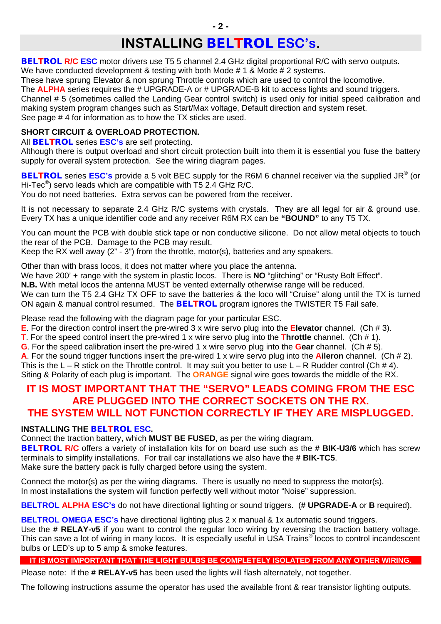# **INSTALLING** *BELTROL* **ESC's.**

**BELTROL RIC ESC** motor drivers use T5 5 channel 2.4 GHz digital proportional R/C with servo outputs. We have conducted development & testing with both Mode # 1 & Mode # 2 systems.

These have sprung Elevator & non sprung Throttle controls which are used to control the locomotive.

The **ALPHA** series requires the # UPGRADE-A or # UPGRADE-B kit to access lights and sound triggers. Channel # 5 (sometimes called the Landing Gear control switch) is used only for initial speed calibration and making system program changes such as Start/Max voltage, Default direction and system reset. See page # 4 for information as to how the TX sticks are used.

## **SHORT CIRCUIT & OVERLOAD PROTECTION.**

All *BELTROL* series **ESC's** are self protecting.

Although there is output overload and short circuit protection built into them it is essential you fuse the battery supply for overall system protection. See the wiring diagram pages.

*BELTROL* series **ESC's** provide a 5 volt BEC supply for the R6M 6 channel receiver via the supplied JR® (or Hi-Tec®) servo leads which are compatible with T5 2.4 GHz R/C.

You do not need batteries. Extra servos can be powered from the receiver.

It is not necessary to separate 2.4 GHz R/C systems with crystals. They are all legal for air & ground use. Every TX has a unique identifier code and any receiver R6M RX can be **"BOUND"** to any T5 TX.

You can mount the PCB with double stick tape or non conductive silicone. Do not allow metal objects to touch the rear of the PCB. Damage to the PCB may result.

Keep the RX well away (2" - 3") from the throttle, motor(s), batteries and any speakers.

Other than with brass locos, it does not matter where you place the antenna.

We have 200' + range with the system in plastic locos. There is **NO** "glitching" or "Rusty Bolt Effect".

**N.B.** With metal locos the antenna MUST be vented externally otherwise range will be reduced.

We can turn the T5 2.4 GHz TX OFF to save the batteries & the loco will "Cruise" along until the TX is turned ON again & manual control resumed. The *BELTROL* program ignores the TWISTER T5 Fail safe.

Please read the following with the diagram page for your particular ESC.

**E**. For the direction control insert the pre-wired 3 x wire servo plug into the **Elevator** channel. (Ch # 3).

**T**. For the speed control insert the pre-wired 1 x wire servo plug into the **Throttle** channel. (Ch # 1).

**G**. For the speed calibration insert the pre-wired 1 x wire servo plug into the **Gear** channel. (Ch # 5).

**A**. For the sound trigger functions insert the pre-wired 1 x wire servo plug into the **Aileron** channel. (Ch # 2).

This is the L – R stick on the Throttle control. It may suit you better to use L – R Rudder control (Ch  $\#$  4). Siting & Polarity of each plug is important. The **ORANGE** signal wire goes towards the middle of the RX.

## **IT IS MOST IMPORTANT THAT THE "SERVO" LEADS COMING FROM THE ESC ARE PLUGGED INTO THE CORRECT SOCKETS ON THE RX. THE SYSTEM WILL NOT FUNCTION CORRECTLY IF THEY ARE MISPLUGGED.**

## **INSTALLING THE** *BELTROL* **ESC.**

Connect the traction battery, which **MUST BE FUSED,** as per the wiring diagram.

*BELTROL* **R/C** offers a variety of installation kits for on board use such as the **# BIK-U3/6** which has screw terminals to simplify installations. For trail car installations we also have the **# BIK-TC5**. Make sure the battery pack is fully charged before using the system.

Connect the motor(s) as per the wiring diagrams. There is usually no need to suppress the motor(s). In most installations the system will function perfectly well without motor "Noise" suppression.

**BELTROL ALPHA ESC's** do not have directional lighting or sound triggers. (**# UPGRADE-A** or **B** required).

**BELTROL OMEGA ESC's** have directional lighting plus 2 x manual & 1x automatic sound triggers.

Use the **# RELAY-v5** if you want to control the regular loco wiring by reversing the traction battery voltage. This can save a lot of wiring in many locos. It is especially useful in USA Trains® locos to control incandescent bulbs or LED's up to 5 amp & smoke features.

## **IT IS MOST IMPORTANT THAT THE LIGHT BULBS BE COMPLETELY ISOLATED FROM ANY OTHER WIRING.**

Please note: If the **# RELAY-v5** has been used the lights will flash alternately, not together.

The following instructions assume the operator has used the available front & rear transistor lighting outputs.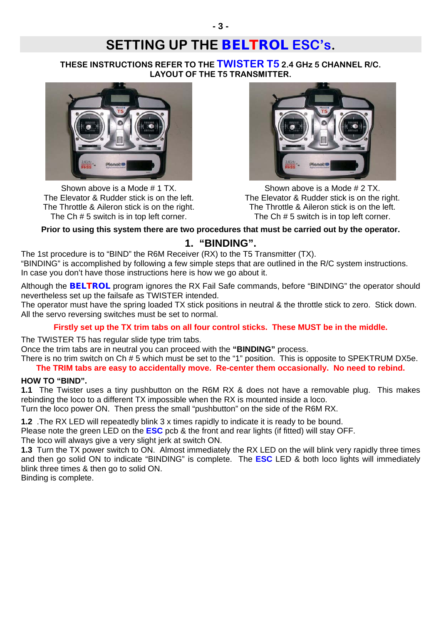# **SETTING UP THE** *BELTROL* **ESC's.**

**THESE INSTRUCTIONS REFER TO THE TWISTER T5 2.4 GHz 5 CHANNEL R/C. LAYOUT OF THE T5 TRANSMITTER.** 



Shown above is a Mode # 1 TX. The Elevator & Rudder stick is on the left. The Throttle & Aileron stick is on the right. The Ch # 5 switch is in top left corner.



Shown above is a Mode # 2 TX. The Elevator & Rudder stick is on the right. The Throttle & Aileron stick is on the left. The Ch # 5 switch is in top left corner.

## **Prior to using this system there are two procedures that must be carried out by the operator.**

## **1. "BINDING".**

The 1st procedure is to "BIND" the R6M Receiver (RX) to the T5 Transmitter (TX). "BINDING" is accomplished by following a few simple steps that are outlined in the R/C system instructions. In case you don't have those instructions here is how we go about it.

Although the *BELTROL* program ignores the RX Fail Safe commands, before "BINDING" the operator should nevertheless set up the failsafe as TWISTER intended.

The operator must have the spring loaded TX stick positions in neutral & the throttle stick to zero. Stick down. All the servo reversing switches must be set to normal.

#### **Firstly set up the TX trim tabs on all four control sticks. These MUST be in the middle.**

The TWISTER T5 has regular slide type trim tabs.

Once the trim tabs are in neutral you can proceed with the **"BINDING"** process.

There is no trim switch on Ch # 5 which must be set to the "1" position. This is opposite to SPEKTRUM DX5e. **The TRIM tabs are easy to accidentally move. Re-center them occasionally. No need to rebind.** 

#### **HOW TO "BIND".**

**1.1** The Twister uses a tiny pushbutton on the R6M RX & does not have a removable plug. This makes rebinding the loco to a different TX impossible when the RX is mounted inside a loco.

Turn the loco power ON. Then press the small "pushbutton" on the side of the R6M RX.

**1.2** .The RX LED will repeatedly blink 3 x times rapidly to indicate it is ready to be bound.

Please note the green LED on the **ESC** pcb & the front and rear lights (if fitted) will stay OFF.

The loco will always give a very slight jerk at switch ON.

**1.3** Turn the TX power switch to ON. Almost immediately the RX LED on the will blink very rapidly three times and then go solid ON to indicate "BINDING" is complete. The **ESC** LED & both loco lights will immediately blink three times & then go to solid ON.

Binding is complete.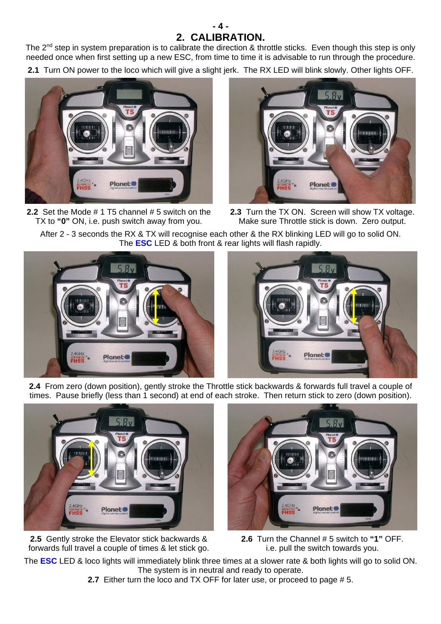## **- 4 - 2. CALIBRATION.**

The 2<sup>nd</sup> step in system preparation is to calibrate the direction & throttle sticks. Even though this step is only needed once when first setting up a new ESC, from time to time it is advisable to run through the procedure.

**2.1** Turn ON power to the loco which will give a slight jerk. The RX LED will blink slowly. Other lights OFF.



**2.2** Set the Mode # 1 T5 channel # 5 switch on the TX to **"0"** ON, i.e. push switch away from you.



**2.3** Turn the TX ON. Screen will show TX voltage. Make sure Throttle stick is down. Zero output.

After 2 - 3 seconds the RX & TX will recognise each other & the RX blinking LED will go to solid ON. The **ESC** LED & both front & rear lights will flash rapidly.



**2.4** From zero (down position), gently stroke the Throttle stick backwards & forwards full travel a couple of times. Pause briefly (less than 1 second) at end of each stroke. Then return stick to zero (down position).



**2.5** Gently stroke the Elevator stick backwards & forwards full travel a couple of times & let stick go.



**2.6** Turn the Channel # 5 switch to **"1"** OFF. i.e. pull the switch towards you.

The **ESC** LED & loco lights will immediately blink three times at a slower rate & both lights will go to solid ON. The system is in neutral and ready to operate.

**2.7** Either turn the loco and TX OFF for later use, or proceed to page # 5.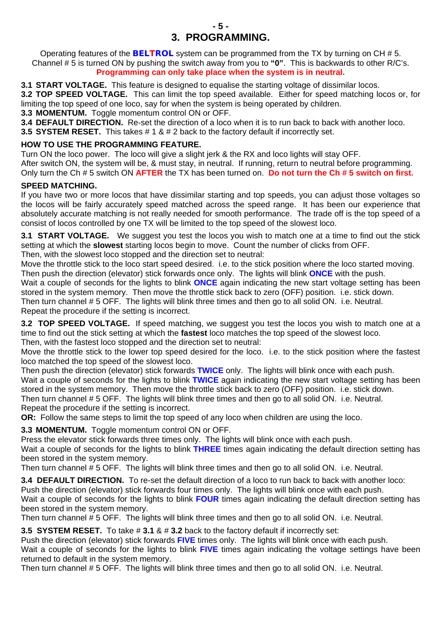## **- 5 - 3. PROGRAMMING.**

Operating features of the *BELTROL* system can be programmed from the TX by turning on CH # 5. Channel # 5 is turned ON by pushing the switch away from you to **"0"**. This is backwards to other R/C's. **Programming can only take place when the system is in neutral.** 

**3.1 START VOLTAGE.** This feature is designed to equalise the starting voltage of dissimilar locos.

**3.2 TOP SPEED VOLTAGE.** This can limit the top speed available. Either for speed matching locos or, for limiting the top speed of one loco, say for when the system is being operated by children.

**3.3 MOMENTUM.** Toggle momentum control ON or OFF.

**3.4 DEFAULT DIRECTION.** Re-set the direction of a loco when it is to run back to back with another loco.

**3.5 SYSTEM RESET.** This takes # 1 & # 2 back to the factory default if incorrectly set.

### **HOW TO USE THE PROGRAMMING FEATURE.**

Turn ON the loco power. The loco will give a slight jerk & the RX and loco lights will stay OFF. After switch ON, the system will be, & must stay, in neutral. If running, return to neutral before programming. Only turn the Ch # 5 switch ON **AFTER** the TX has been turned on. **Do not turn the Ch # 5 switch on first.** 

### **SPEED MATCHING.**

If you have two or more locos that have dissimilar starting and top speeds, you can adjust those voltages so the locos will be fairly accurately speed matched across the speed range. It has been our experience that absolutely accurate matching is not really needed for smooth performance. The trade off is the top speed of a consist of locos controlled by one TX will be limited to the top speed of the slowest loco.

**3.1 START VOLTAGE.** We suggest you test the locos you wish to match one at a time to find out the stick setting at which the **slowest** starting locos begin to move. Count the number of clicks from OFF.

Then, with the slowest loco stopped and the direction set to neutral:

Move the throttle stick to the loco start speed desired. i.e. to the stick position where the loco started moving. Then push the direction (elevator) stick forwards once only. The lights will blink **ONCE** with the push.

Wait a couple of seconds for the lights to blink **ONCE** again indicating the new start voltage setting has been stored in the system memory. Then move the throttle stick back to zero (OFF) position. i.e. stick down.

Then turn channel # 5 OFF. The lights will blink three times and then go to all solid ON. i.e. Neutral. Repeat the procedure if the setting is incorrect.

**3.2 TOP SPEED VOLTAGE.** If speed matching, we suggest you test the locos you wish to match one at a time to find out the stick setting at which the **fastest** loco matches the top speed of the slowest loco. Then, with the fastest loco stopped and the direction set to neutral:

Move the throttle stick to the lower top speed desired for the loco. i.e. to the stick position where the fastest loco matched the top speed of the slowest loco.

Then push the direction (elevator) stick forwards **TWICE** only. The lights will blink once with each push. Wait a couple of seconds for the lights to blink **TWICE** again indicating the new start voltage setting has been stored in the system memory. Then move the throttle stick back to zero (OFF) position. i.e. stick down. Then turn channel # 5 OFF. The lights will blink three times and then go to all solid ON. i.e. Neutral. Repeat the procedure if the setting is incorrect.

**OR:** Follow the same steps to limit the top speed of any loco when children are using the loco.

**3.3 MOMENTUM.** Toggle momentum control ON or OFF.

Press the elevator stick forwards three times only. The lights will blink once with each push.

Wait a couple of seconds for the lights to blink **THREE** times again indicating the default direction setting has been stored in the system memory.

Then turn channel # 5 OFF. The lights will blink three times and then go to all solid ON. i.e. Neutral.

**3.4 DEFAULT DIRECTION.** To re-set the default direction of a loco to run back to back with another loco: Push the direction (elevator) stick forwards four times only. The lights will blink once with each push. Wait a couple of seconds for the lights to blink **FOUR** times again indicating the default direction setting has

been stored in the system memory.

Then turn channel # 5 OFF. The lights will blink three times and then go to all solid ON. i.e. Neutral.

**3.5 SYSTEM RESET.** To take # **3.1** & # **3.2** back to the factory default if incorrectly set:

Push the direction (elevator) stick forwards **FIVE** times only. The lights will blink once with each push.

Wait a couple of seconds for the lights to blink **FIVE** times again indicating the voltage settings have been returned to default in the system memory.

Then turn channel # 5 OFF. The lights will blink three times and then go to all solid ON. i.e. Neutral.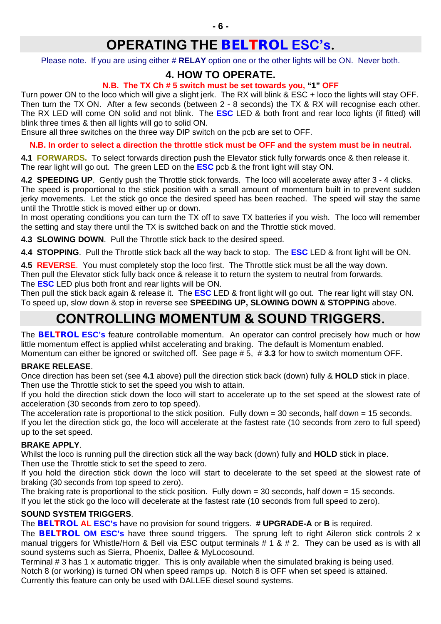Please note. If you are using either # **RELAY** option one or the other lights will be ON. Never both.

## **4. HOW TO OPERATE.**

## **N.B. The TX Ch # 5 switch must be set towards you, "1" OFF**

Turn power ON to the loco which will give a slight jerk. The RX will blink & ESC + loco the lights will stay OFF. Then turn the TX ON. After a few seconds (between 2 - 8 seconds) the TX & RX will recognise each other. The RX LED will come ON solid and not blink. The **ESC** LED & both front and rear loco lights (if fitted) will blink three times & then all lights will go to solid ON.

Ensure all three switches on the three way DIP switch on the pcb are set to OFF.

**N.B. In order to select a direction the throttle stick must be OFF and the system must be in neutral.** 

**4.1 FORWARDS.** To select forwards direction push the Elevator stick fully forwards once & then release it. The rear light will go out. The green LED on the **ESC** pcb & the front light will stay ON.

**4.2 SPEEDING UP**. Gently push the Throttle stick forwards. The loco will accelerate away after 3 - 4 clicks. The speed is proportional to the stick position with a small amount of momentum built in to prevent sudden jerky movements. Let the stick go once the desired speed has been reached. The speed will stay the same until the Throttle stick is moved either up or down.

In most operating conditions you can turn the TX off to save TX batteries if you wish. The loco will remember the setting and stay there until the TX is switched back on and the Throttle stick moved.

**4.3 SLOWING DOWN**. Pull the Throttle stick back to the desired speed.

**4.4 STOPPING**. Pull the Throttle stick back all the way back to stop. The **ESC** LED & front light will be ON.

**4.5 REVERSE**. You must completely stop the loco first. The Throttle stick must be all the way down. Then pull the Elevator stick fully back once & release it to return the system to neutral from forwards. The **ESC** LED plus both front and rear lights will be ON.

Then pull the stick back again & release it. The **ESC** LED & front light will go out. The rear light will stay ON. To speed up, slow down & stop in reverse see **SPEEDING UP, SLOWING DOWN & STOPPING** above.

# **CONTROLLING MOMENTUM & SOUND TRIGGERS.**

The *BELTROL* **ESC's** feature controllable momentum. An operator can control precisely how much or how little momentum effect is applied whilst accelerating and braking. The default is Momentum enabled. Momentum can either be ignored or switched off. See page # 5, # **3.3** for how to switch momentum OFF.

## **BRAKE RELEASE**.

Once direction has been set (see **4.1** above) pull the direction stick back (down) fully & **HOLD** stick in place. Then use the Throttle stick to set the speed you wish to attain.

If you hold the direction stick down the loco will start to accelerate up to the set speed at the slowest rate of acceleration (30 seconds from zero to top speed).

The acceleration rate is proportional to the stick position. Fully down = 30 seconds, half down = 15 seconds. If you let the direction stick go, the loco will accelerate at the fastest rate (10 seconds from zero to full speed) up to the set speed.

## **BRAKE APPLY**.

Whilst the loco is running pull the direction stick all the way back (down) fully and **HOLD** stick in place. Then use the Throttle stick to set the speed to zero.

If you hold the direction stick down the loco will start to decelerate to the set speed at the slowest rate of braking (30 seconds from top speed to zero).

The braking rate is proportional to the stick position. Fully down  $= 30$  seconds, half down  $= 15$  seconds.

If you let the stick go the loco will decelerate at the fastest rate (10 seconds from full speed to zero).

## **SOUND SYSTEM TRIGGERS**.

The *BELTROL* **AL ESC's** have no provision for sound triggers. **# UPGRADE-A** or **B** is required. The *BELTROL* **OM ESC's** have three sound triggers. The sprung left to right Aileron stick controls 2 x manual triggers for Whistle/Horn & Bell via ESC output terminals # 1 & # 2. They can be used as is with all sound systems such as Sierra, Phoenix, Dallee & MyLocosound.

Terminal # 3 has 1 x automatic trigger. This is only available when the simulated braking is being used. Notch 8 (or working) is turned ON when speed ramps up. Notch 8 is OFF when set speed is attained. Currently this feature can only be used with DALLEE diesel sound systems.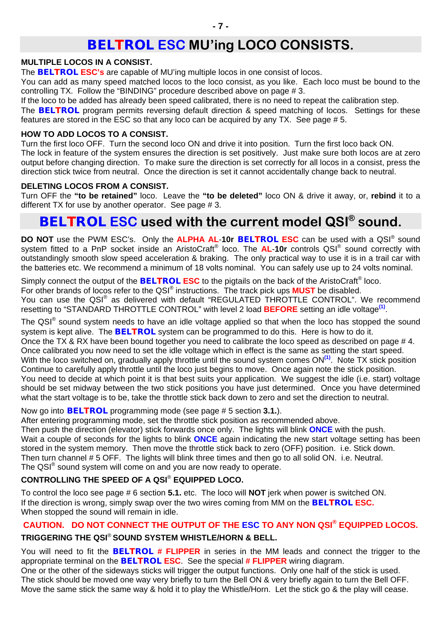# *BELTROL* **ESC MU'ing LOCO CONSISTS.**

#### **MULTIPLE LOCOS IN A CONSIST.**

The *BELTROL* **ESC's** are capable of MU'ing multiple locos in one consist of locos.

You can add as many speed matched locos to the loco consist, as you like. Each loco must be bound to the controlling TX. Follow the "BINDING" procedure described above on page # 3.

If the loco to be added has already been speed calibrated, there is no need to repeat the calibration step.

The *BELTROL* program permits reversing default direction & speed matching of locos. Settings for these features are stored in the ESC so that any loco can be acquired by any TX. See page # 5.

### **HOW TO ADD LOCOS TO A CONSIST.**

Turn the first loco OFF. Turn the second loco ON and drive it into position. Turn the first loco back ON. The lock in feature of the system ensures the direction is set positively. Just make sure both locos are at zero output before changing direction. To make sure the direction is set correctly for all locos in a consist, press the direction stick twice from neutral. Once the direction is set it cannot accidentally change back to neutral.

### **DELETING LOCOS FROM A CONSIST.**

Turn OFF the **"to be retained"** loco. Leave the **"to be deleted"** loco ON & drive it away, or, **rebind** it to a different TX for use by another operator. See page # 3.

## *BELTROL* **ESC used with the current model QSI® sound.**

**DO NOT** use the PWM ESC's. Only the **ALPHA AL**-**10r** *BELTROL* **ESC** can be used with a QSI® sound system fitted to a PnP socket inside an AristoCraft® loco. The **AL**-**10r** controls QSI® sound correctly with outstandingly smooth slow speed acceleration & braking. The only practical way to use it is in a trail car with the batteries etc. We recommend a minimum of 18 volts nominal. You can safely use up to 24 volts nominal.

Simply connect the output of the *BELTROL* **ESC** to the pigtails on the back of the AristoCraft® loco. For other brands of locos refer to the QSI® instructions. The track pick ups **MUST** be disabled. You can use the QSI® as delivered with default "REGULATED THROTTLE CONTROL". We recommend resetting to "STANDARD THROTTLE CONTROL" with level 2 load **BEFORE** setting an idle voltage**(1)**.

The QSI® sound system needs to have an idle voltage applied so that when the loco has stopped the sound system is kept alive. The *BELTROL* system can be programmed to do this. Here is how to do it. Once the TX & RX have been bound together you need to calibrate the loco speed as described on page # 4. Once calibrated you now need to set the idle voltage which in effect is the same as setting the start speed. With the loco switched on, gradually apply throttle until the sound system comes ON**(1)**. Note TX stick position Continue to carefully apply throttle until the loco just begins to move. Once again note the stick position. You need to decide at which point it is that best suits your application. We suggest the idle (i.e. start) voltage should be set midway between the two stick positions you have just determined. Once you have determined what the start voltage is to be, take the throttle stick back down to zero and set the direction to neutral.

Now go into *BELTROL* programming mode (see page # 5 section **3.1.**).

After entering programming mode, set the throttle stick position as recommended above.

Then push the direction (elevator) stick forwards once only. The lights will blink **ONCE** with the push. Wait a couple of seconds for the lights to blink **ONCE** again indicating the new start voltage setting has been stored in the system memory. Then move the throttle stick back to zero (OFF) position. i.e. Stick down. Then turn channel # 5 OFF. The lights will blink three times and then go to all solid ON. i.e. Neutral. The QSI<sup>®</sup> sound system will come on and you are now ready to operate.

## **CONTROLLING THE SPEED OF A QSI**® **EQUIPPED LOCO.**

To control the loco see page # 6 section **5.1.** etc. The loco will **NOT** jerk when power is switched ON. If the direction is wrong, simply swap over the two wires coming from MM on the *BELTROL* **ESC.** When stopped the sound will remain in idle.

## **CAUTION. DO NOT CONNECT THE OUTPUT OF THE ESC TO ANY NON QSI® EQUIPPED LOCOS.**

## **TRIGGERING THE QSI**® **SOUND SYSTEM WHISTLE/HORN & BELL.**

You will need to fit the *BELTROL* **# FLIPPER** in series in the MM leads and connect the trigger to the appropriate terminal on the *BELTROL* **ESC**. See the special **# FLIPPER** wiring diagram.

One or the other of the sideways sticks will trigger the output functions. Only one half of the stick is used. The stick should be moved one way very briefly to turn the Bell ON & very briefly again to turn the Bell OFF. Move the same stick the same way & hold it to play the Whistle/Horn. Let the stick go & the play will cease.